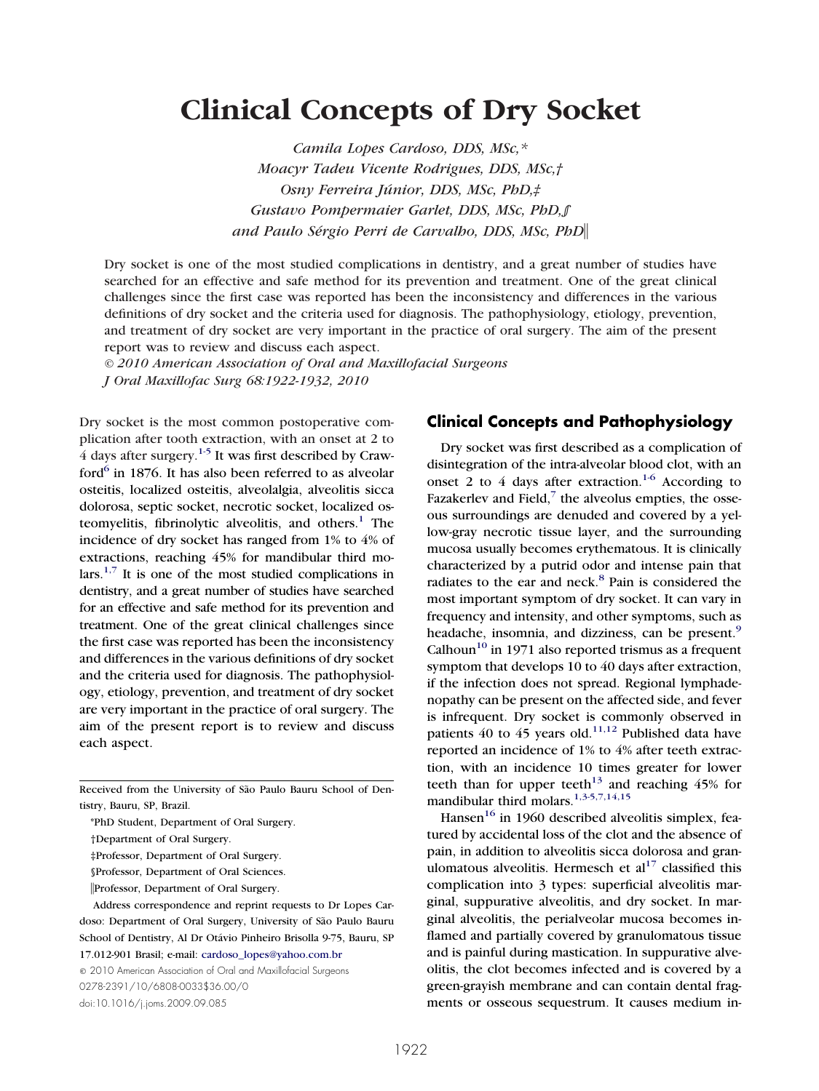# **Clinical Concepts of Dry Socket**

*Camila Lopes Cardoso, DDS, MSc,\* Moacyr Tadeu Vicente Rodrigues, DDS, MSc,† Osny Ferreira Júnior, DDS, MSc, PhD,‡ Gustavo Pompermaier Garlet, DDS, MSc, PhD,§ and Paulo Se´rgio Perri de Carvalho, DDS, MSc, PhD*

Dry socket is one of the most studied complications in dentistry, and a great number of studies have searched for an effective and safe method for its prevention and treatment. One of the great clinical challenges since the first case was reported has been the inconsistency and differences in the various definitions of dry socket and the criteria used for diagnosis. The pathophysiology, etiology, prevention, and treatment of dry socket are very important in the practice of oral surgery. The aim of the present report was to review and discuss each aspect.

*© 2010 American Association of Oral and Maxillofacial Surgeons J Oral Maxillofac Surg 68:1922-1932, 2010*

Dry socket is the most common postoperative complication after tooth extraction, with an onset at 2 to 4 days after surgery.[1-5](#page-8-0) It was first described by Crawford $^{6}$  $^{6}$  $^{6}$  in 1876. It has also been referred to as alveolar osteitis, localized osteitis, alveolalgia, alveolitis sicca dolorosa, septic socket, necrotic socket, localized os-teomyelitis, fibrinolytic alveolitis, and others.<sup>[1](#page-8-0)</sup> The incidence of dry socket has ranged from 1% to 4% of extractions, reaching 45% for mandibular third mo- $\arcsin^{1,7}$  It is one of the most studied complications in dentistry, and a great number of studies have searched for an effective and safe method for its prevention and treatment. One of the great clinical challenges since the first case was reported has been the inconsistency and differences in the various definitions of dry socket and the criteria used for diagnosis. The pathophysiology, etiology, prevention, and treatment of dry socket are very important in the practice of oral surgery. The aim of the present report is to review and discuss each aspect.

Received from the University of São Paulo Bauru School of Dentistry, Bauru, SP, Brazil.

\*PhD Student, Department of Oral Surgery.

‡Professor, Department of Oral Surgery.

§Professor, Department of Oral Sciences.

Professor, Department of Oral Surgery.

© 2010 American Association of Oral and Maxillofacial Surgeons 0278-2391/10/6808-0033\$36.00/0

doi:10.1016/j.joms.2009.09.085

# **Clinical Concepts and Pathophysiology**

Dry socket was first described as a complication of disintegration of the intra-alveolar blood clot, with an onset 2 to 4 days after extraction.<sup>[1-6](#page-8-0)</sup> According to Fazakerlev and Field, $\overline{7}$  $\overline{7}$  $\overline{7}$  the alveolus empties, the osseous surroundings are denuded and covered by a yellow-gray necrotic tissue layer, and the surrounding mucosa usually becomes erythematous. It is clinically characterized by a putrid odor and intense pain that radiates to the ear and neck.<sup>8</sup> Pain is considered the most important symptom of dry socket. It can vary in frequency and intensity, and other symptoms, such as headache, insomnia, and dizziness, can be present.<sup>[9](#page-8-0)</sup> Calhoun<sup>10</sup> in 1971 also reported trismus as a frequent symptom that develops 10 to 40 days after extraction, if the infection does not spread. Regional lymphadenopathy can be present on the affected side, and fever is infrequent. Dry socket is commonly observed in patients  $40$  to  $45$  years old.<sup>[11,12](#page-8-0)</sup> Published data have reported an incidence of 1% to 4% after teeth extraction, with an incidence 10 times greater for lower teeth than for upper teeth<sup>13</sup> and reaching  $45\%$  for mandibular third molars[.1,3-5,7,14,15](#page-8-0)

Hansen<sup>16</sup> in 1960 described alveolitis simplex, featured by accidental loss of the clot and the absence of pain, in addition to alveolitis sicca dolorosa and granulomatous alveolitis. Hermesch et  $al<sup>17</sup>$  $al<sup>17</sup>$  $al<sup>17</sup>$  classified this complication into 3 types: superficial alveolitis marginal, suppurative alveolitis, and dry socket. In marginal alveolitis, the perialveolar mucosa becomes inflamed and partially covered by granulomatous tissue and is painful during mastication. In suppurative alveolitis, the clot becomes infected and is covered by a green-grayish membrane and can contain dental fragments or osseous sequestrum. It causes medium in-

<sup>†</sup>Department of Oral Surgery.

Address correspondence and reprint requests to Dr Lopes Cardoso: Department of Oral Surgery, University of São Paulo Bauru School of Dentistry, Al Dr Otávio Pinheiro Brisolla 9-75, Bauru, SP 17.012-901 Brasil; e-mail: [cardoso\\_lopes@yahoo.com.br](mailto:cardoso_lopes@yahoo.com.br)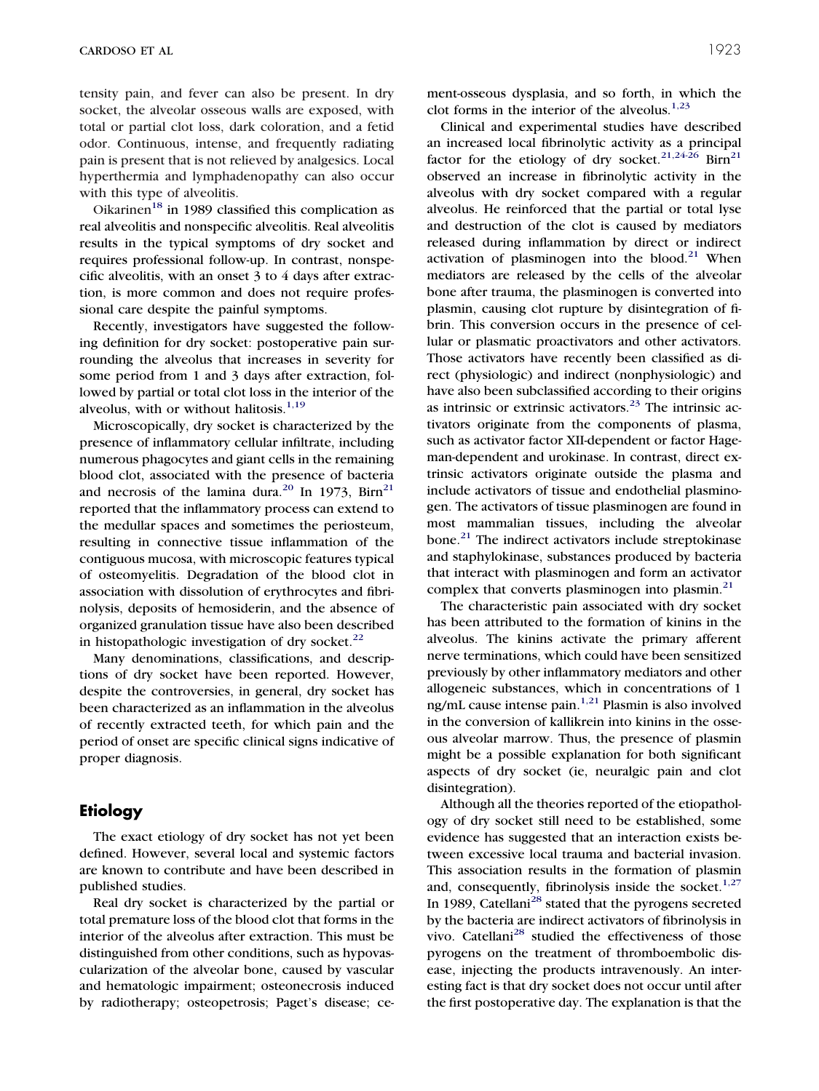tensity pain, and fever can also be present. In dry socket, the alveolar osseous walls are exposed, with total or partial clot loss, dark coloration, and a fetid odor. Continuous, intense, and frequently radiating pain is present that is not relieved by analgesics. Local hyperthermia and lymphadenopathy can also occur with this type of alveolitis.

Oikarinen<sup>[18](#page-8-0)</sup> in 1989 classified this complication as real alveolitis and nonspecific alveolitis. Real alveolitis results in the typical symptoms of dry socket and requires professional follow-up. In contrast, nonspecific alveolitis, with an onset 3 to 4 days after extraction, is more common and does not require professional care despite the painful symptoms.

Recently, investigators have suggested the following definition for dry socket: postoperative pain surrounding the alveolus that increases in severity for some period from 1 and 3 days after extraction, followed by partial or total clot loss in the interior of the alveolus, with or without halitosis. $1,19$ 

Microscopically, dry socket is characterized by the presence of inflammatory cellular infiltrate, including numerous phagocytes and giant cells in the remaining blood clot, associated with the presence of bacteria and necrosis of the lamina dura.<sup>[20](#page-8-0)</sup> In 1973, Birn<sup>[21](#page-8-0)</sup> reported that the inflammatory process can extend to the medullar spaces and sometimes the periosteum, resulting in connective tissue inflammation of the contiguous mucosa, with microscopic features typical of osteomyelitis. Degradation of the blood clot in association with dissolution of erythrocytes and fibrinolysis, deposits of hemosiderin, and the absence of organized granulation tissue have also been described in histopathologic investigation of dry socket. $^{22}$  $^{22}$  $^{22}$ 

Many denominations, classifications, and descriptions of dry socket have been reported. However, despite the controversies, in general, dry socket has been characterized as an inflammation in the alveolus of recently extracted teeth, for which pain and the period of onset are specific clinical signs indicative of proper diagnosis.

## **Etiology**

The exact etiology of dry socket has not yet been defined. However, several local and systemic factors are known to contribute and have been described in published studies.

Real dry socket is characterized by the partial or total premature loss of the blood clot that forms in the interior of the alveolus after extraction. This must be distinguished from other conditions, such as hypovascularization of the alveolar bone, caused by vascular and hematologic impairment; osteonecrosis induced by radiotherapy; osteopetrosis; Paget's disease; cement-osseous dysplasia, and so forth, in which the clot forms in the interior of the alveolus. $1,23$ 

Clinical and experimental studies have described an increased local fibrinolytic activity as a principal factor for the etiology of dry socket.<sup>[21,24-26](#page-8-0)</sup> Birn<sup>[21](#page-8-0)</sup> observed an increase in fibrinolytic activity in the alveolus with dry socket compared with a regular alveolus. He reinforced that the partial or total lyse and destruction of the clot is caused by mediators released during inflammation by direct or indirect activation of plasminogen into the blood. $21$  When mediators are released by the cells of the alveolar bone after trauma, the plasminogen is converted into plasmin, causing clot rupture by disintegration of fibrin. This conversion occurs in the presence of cellular or plasmatic proactivators and other activators. Those activators have recently been classified as direct (physiologic) and indirect (nonphysiologic) and have also been subclassified according to their origins as intrinsic or extrinsic activators. $23$  The intrinsic activators originate from the components of plasma, such as activator factor XII-dependent or factor Hageman-dependent and urokinase. In contrast, direct extrinsic activators originate outside the plasma and include activators of tissue and endothelial plasminogen. The activators of tissue plasminogen are found in most mammalian tissues, including the alveolar bone. $^{21}$  $^{21}$  $^{21}$  The indirect activators include streptokinase and staphylokinase, substances produced by bacteria that interact with plasminogen and form an activator complex that converts plasminogen into plasmin. $21$ 

The characteristic pain associated with dry socket has been attributed to the formation of kinins in the alveolus. The kinins activate the primary afferent nerve terminations, which could have been sensitized previously by other inflammatory mediators and other allogeneic substances, which in concentrations of 1 ng/mL cause intense pain.<sup>[1,21](#page-8-0)</sup> Plasmin is also involved in the conversion of kallikrein into kinins in the osseous alveolar marrow. Thus, the presence of plasmin might be a possible explanation for both significant aspects of dry socket (ie, neuralgic pain and clot disintegration).

Although all the theories reported of the etiopathology of dry socket still need to be established, some evidence has suggested that an interaction exists between excessive local trauma and bacterial invasion. This association results in the formation of plasmin and, consequently, fibrinolysis inside the socket. $1,27$ In 1989, Catellani<sup>[28](#page-8-0)</sup> stated that the pyrogens secreted by the bacteria are indirect activators of fibrinolysis in vivo. Catellani<sup>[28](#page-8-0)</sup> studied the effectiveness of those pyrogens on the treatment of thromboembolic disease, injecting the products intravenously. An interesting fact is that dry socket does not occur until after the first postoperative day. The explanation is that the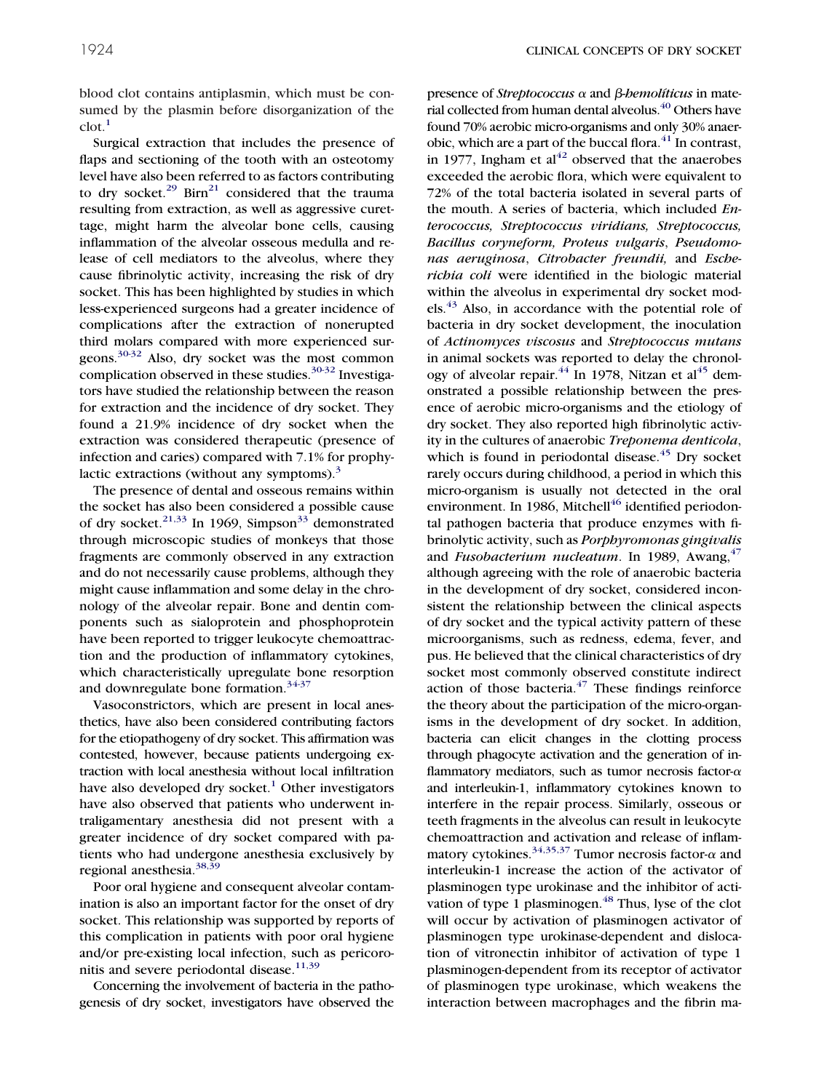blood clot contains antiplasmin, which must be consumed by the plasmin before disorganization of the  $\text{clot.}^1$  $\text{clot.}^1$ 

Surgical extraction that includes the presence of flaps and sectioning of the tooth with an osteotomy level have also been referred to as factors contributing to dry socket.<sup>[29](#page-8-0)</sup> Birn<sup>[21](#page-8-0)</sup> considered that the trauma resulting from extraction, as well as aggressive curettage, might harm the alveolar bone cells, causing inflammation of the alveolar osseous medulla and release of cell mediators to the alveolus, where they cause fibrinolytic activity, increasing the risk of dry socket. This has been highlighted by studies in which less-experienced surgeons had a greater incidence of complications after the extraction of nonerupted third molars compared with more experienced surgeons[.30-32](#page-8-0) Also, dry socket was the most common complication observed in these studies.  $30-32$  Investigators have studied the relationship between the reason for extraction and the incidence of dry socket. They found a 21.9% incidence of dry socket when the extraction was considered therapeutic (presence of infection and caries) compared with 7.1% for prophylactic extractions (without any symptoms). $3$ 

The presence of dental and osseous remains within the socket has also been considered a possible cause of dry socket.<sup>[21,33](#page-8-0)</sup> In 1969, Simpson<sup>[33](#page-8-0)</sup> demonstrated through microscopic studies of monkeys that those fragments are commonly observed in any extraction and do not necessarily cause problems, although they might cause inflammation and some delay in the chronology of the alveolar repair. Bone and dentin components such as sialoprotein and phosphoprotein have been reported to trigger leukocyte chemoattraction and the production of inflammatory cytokines, which characteristically upregulate bone resorption and downregulate bone formation.<sup>[34-37](#page-8-0)</sup>

Vasoconstrictors, which are present in local anesthetics, have also been considered contributing factors for the etiopathogeny of dry socket. This affirmation was contested, however, because patients undergoing extraction with local anesthesia without local infiltration have also developed dry socket. $1$  Other investigators have also observed that patients who underwent intraligamentary anesthesia did not present with a greater incidence of dry socket compared with patients who had undergone anesthesia exclusively by regional anesthesia[.38,39](#page-8-0)

Poor oral hygiene and consequent alveolar contamination is also an important factor for the onset of dry socket. This relationship was supported by reports of this complication in patients with poor oral hygiene and/or pre-existing local infection, such as pericoronitis and severe periodontal disease. $11,39$ 

Concerning the involvement of bacteria in the pathogenesis of dry socket, investigators have observed the

presence of *Streptococcus*  $\alpha$  and  $\beta$ -*hemolíticus* in material collected from human dental alveolus.<sup>40</sup> Others have found 70% aerobic micro-organisms and only 30% anaerobic, which are a part of the buccal flora. $41$  In contrast, in 1977, Ingham et  $al<sup>42</sup>$  observed that the anaerobes exceeded the aerobic flora, which were equivalent to 72% of the total bacteria isolated in several parts of the mouth. A series of bacteria, which included *Enterococcus, Streptococcus viridians, Streptococcus, Bacillus coryneform, Proteus vulgaris*, *Pseudomonas aeruginosa*, *Citrobacter freundii,* and *Escherichia coli* were identified in the biologic material within the alveolus in experimental dry socket models[.43](#page-8-0) Also, in accordance with the potential role of bacteria in dry socket development, the inoculation of *Actinomyces viscosus* and *Streptococcus mutans* in animal sockets was reported to delay the chronology of alveolar repair.  $^{44}$  $^{44}$  $^{44}$  In 1978, Nitzan et al<sup>[45](#page-8-0)</sup> demonstrated a possible relationship between the presence of aerobic micro-organisms and the etiology of dry socket. They also reported high fibrinolytic activity in the cultures of anaerobic *Treponema denticola*, which is found in periodontal disease. $45$  Dry socket rarely occurs during childhood, a period in which this micro-organism is usually not detected in the oral environment. In 1986, Mitchell<sup>46</sup> identified periodontal pathogen bacteria that produce enzymes with fibrinolytic activity, such as *Porphyromonas gingivalis* and *Fusobacterium nucleatum*. In 1989, Awang, $4/7$ although agreeing with the role of anaerobic bacteria in the development of dry socket, considered inconsistent the relationship between the clinical aspects of dry socket and the typical activity pattern of these microorganisms, such as redness, edema, fever, and pus. He believed that the clinical characteristics of dry socket most commonly observed constitute indirect action of those bacteria. $47$  These findings reinforce the theory about the participation of the micro-organisms in the development of dry socket. In addition, bacteria can elicit changes in the clotting process through phagocyte activation and the generation of inflammatory mediators, such as tumor necrosis factor- $\alpha$ and interleukin-1, inflammatory cytokines known to interfere in the repair process. Similarly, osseous or teeth fragments in the alveolus can result in leukocyte chemoattraction and activation and release of inflammatory cytokines.<sup>34,35,37</sup> Tumor necrosis factor- $\alpha$  and interleukin-1 increase the action of the activator of plasminogen type urokinase and the inhibitor of activation of type 1 plasminogen.<sup>48</sup> Thus, lyse of the clot will occur by activation of plasminogen activator of plasminogen type urokinase-dependent and dislocation of vitronectin inhibitor of activation of type 1 plasminogen-dependent from its receptor of activator of plasminogen type urokinase, which weakens the interaction between macrophages and the fibrin ma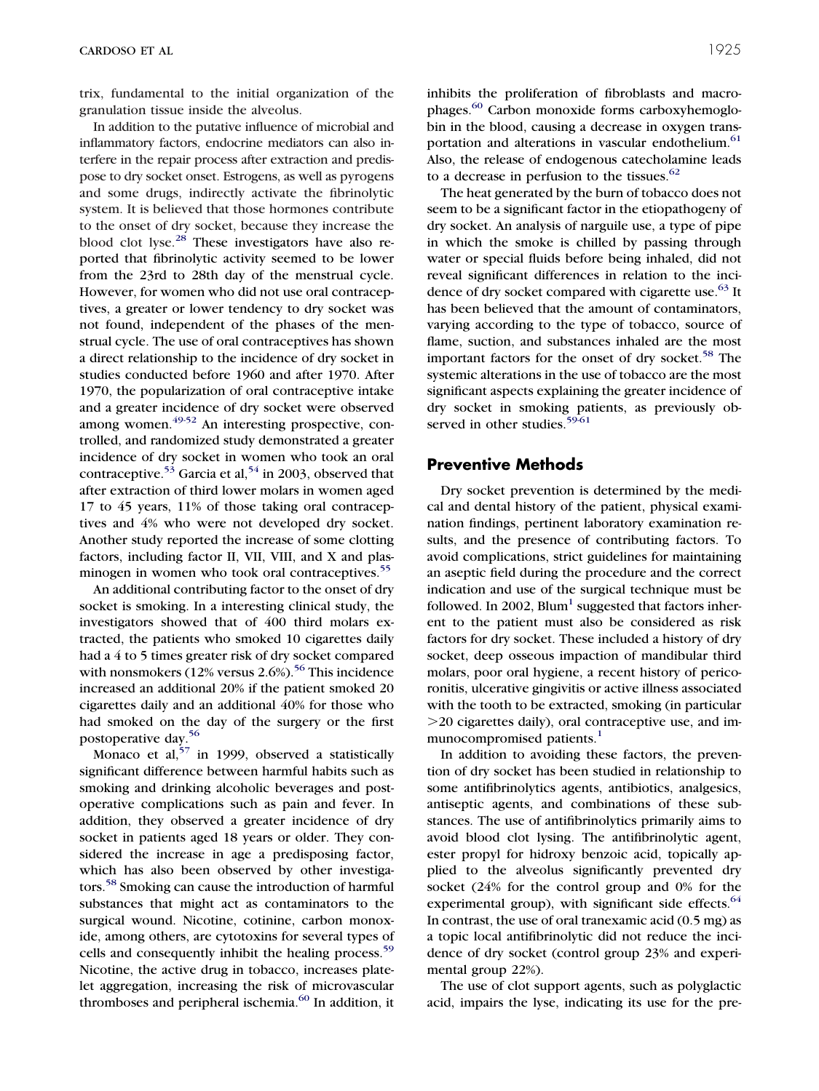trix, fundamental to the initial organization of the granulation tissue inside the alveolus.

In addition to the putative influence of microbial and inflammatory factors, endocrine mediators can also interfere in the repair process after extraction and predispose to dry socket onset. Estrogens, as well as pyrogens and some drugs, indirectly activate the fibrinolytic system. It is believed that those hormones contribute to the onset of dry socket, because they increase the blood clot lyse.<sup>[28](#page-8-0)</sup> These investigators have also reported that fibrinolytic activity seemed to be lower from the 23rd to 28th day of the menstrual cycle. However, for women who did not use oral contraceptives, a greater or lower tendency to dry socket was not found, independent of the phases of the menstrual cycle. The use of oral contraceptives has shown a direct relationship to the incidence of dry socket in studies conducted before 1960 and after 1970. After 1970, the popularization of oral contraceptive intake and a greater incidence of dry socket were observed among women.<sup>[49-52](#page-8-0)</sup> An interesting prospective, controlled, and randomized study demonstrated a greater incidence of dry socket in women who took an oral contraceptive.<sup>[53](#page-9-0)</sup> Garcia et al,<sup>[54](#page-9-0)</sup> in 2003, observed that after extraction of third lower molars in women aged 17 to 45 years, 11% of those taking oral contraceptives and 4% who were not developed dry socket. Another study reported the increase of some clotting factors, including factor II, VII, VIII, and X and plas-minogen in women who took oral contraceptives.<sup>[55](#page-9-0)</sup>

An additional contributing factor to the onset of dry socket is smoking. In a interesting clinical study, the investigators showed that of 400 third molars extracted, the patients who smoked 10 cigarettes daily had a 4 to 5 times greater risk of dry socket compared with nonsmokers  $(12\% \text{ versus } 2.6\%)$ .<sup>[56](#page-9-0)</sup> This incidence increased an additional 20% if the patient smoked 20 cigarettes daily and an additional 40% for those who had smoked on the day of the surgery or the first postoperative day[.56](#page-9-0)

Monaco et al,  $57$  in 1999, observed a statistically significant difference between harmful habits such as smoking and drinking alcoholic beverages and postoperative complications such as pain and fever. In addition, they observed a greater incidence of dry socket in patients aged 18 years or older. They considered the increase in age a predisposing factor, which has also been observed by other investigators.[58](#page-9-0) Smoking can cause the introduction of harmful substances that might act as contaminators to the surgical wound. Nicotine, cotinine, carbon monoxide, among others, are cytotoxins for several types of cells and consequently inhibit the healing process.<sup>[59](#page-9-0)</sup> Nicotine, the active drug in tobacco, increases platelet aggregation, increasing the risk of microvascular thromboses and peripheral ischemia.<sup>[60](#page-9-0)</sup> In addition, it inhibits the proliferation of fibroblasts and macro-phages.<sup>[60](#page-9-0)</sup> Carbon monoxide forms carboxyhemoglobin in the blood, causing a decrease in oxygen trans-portation and alterations in vascular endothelium.<sup>[61](#page-9-0)</sup> Also, the release of endogenous catecholamine leads to a decrease in perfusion to the tissues. $62$ 

The heat generated by the burn of tobacco does not seem to be a significant factor in the etiopathogeny of dry socket. An analysis of narguile use, a type of pipe in which the smoke is chilled by passing through water or special fluids before being inhaled, did not reveal significant differences in relation to the inci-dence of dry socket compared with cigarette use.<sup>[63](#page-9-0)</sup> It has been believed that the amount of contaminators, varying according to the type of tobacco, source of flame, suction, and substances inhaled are the most important factors for the onset of dry socket.<sup>[58](#page-9-0)</sup> The systemic alterations in the use of tobacco are the most significant aspects explaining the greater incidence of dry socket in smoking patients, as previously observed in other studies.<sup>59-61</sup>

#### **Preventive Methods**

Dry socket prevention is determined by the medical and dental history of the patient, physical examination findings, pertinent laboratory examination results, and the presence of contributing factors. To avoid complications, strict guidelines for maintaining an aseptic field during the procedure and the correct indication and use of the surgical technique must be followed. In 2002, Blum<sup>[1](#page-8-0)</sup> suggested that factors inherent to the patient must also be considered as risk factors for dry socket. These included a history of dry socket, deep osseous impaction of mandibular third molars, poor oral hygiene, a recent history of pericoronitis, ulcerative gingivitis or active illness associated with the tooth to be extracted, smoking (in particular 20 cigarettes daily), oral contraceptive use, and immunocompromised patients.<sup>1</sup>

In addition to avoiding these factors, the prevention of dry socket has been studied in relationship to some antifibrinolytics agents, antibiotics, analgesics, antiseptic agents, and combinations of these substances. The use of antifibrinolytics primarily aims to avoid blood clot lysing. The antifibrinolytic agent, ester propyl for hidroxy benzoic acid, topically applied to the alveolus significantly prevented dry socket (24% for the control group and 0% for the experimental group), with significant side effects.<sup>64</sup> In contrast, the use of oral tranexamic acid (0.5 mg) as a topic local antifibrinolytic did not reduce the incidence of dry socket (control group 23% and experimental group 22%).

The use of clot support agents, such as polyglactic acid, impairs the lyse, indicating its use for the pre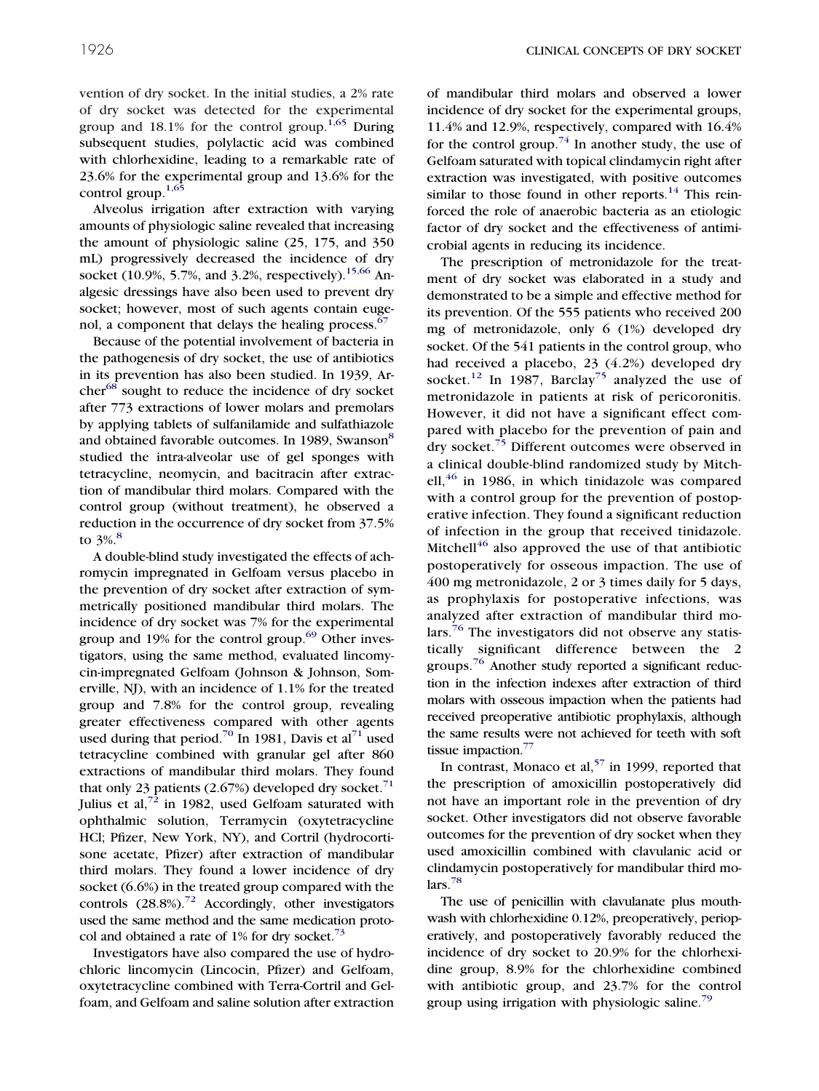vention of dry socket. In the initial studies, a 2% rate of dry socket was detected for the experimental group and 18.1% for the control group.<sup>1,65</sup> During subsequent studies, polylactic acid was combined with chlorhexidine, leading to a remarkable rate of 23.6% for the experimental group and 13.6% for the control group.[1,65](#page-8-0)

Alveolus irrigation after extraction with varying amounts of physiologic saline revealed that increasing the amount of physiologic saline (25, 175, and 350 mL) progressively decreased the incidence of dry socket (10.9%, 5.7%, and 3.2%, respectively).<sup>[15,66](#page-8-0)</sup> Analgesic dressings have also been used to prevent dry socket; however, most of such agents contain euge-nol, a component that delays the healing process.<sup>[67](#page-9-0)</sup>

Because of the potential involvement of bacteria in the pathogenesis of dry socket, the use of antibiotics in its prevention has also been studied. In 1939, Ar-cher<sup>[68](#page-9-0)</sup> sought to reduce the incidence of dry socket after 773 extractions of lower molars and premolars by applying tablets of sulfanilamide and sulfathiazole and obtained favorable outcomes. In 19[8](#page-8-0)9, Swanson<sup>8</sup> studied the intra-alveolar use of gel sponges with tetracycline, neomycin, and bacitracin after extraction of mandibular third molars. Compared with the control group (without treatment), he observed a reduction in the occurrence of dry socket from 37.5% to  $3\%$ .<sup>8</sup>

A double-blind study investigated the effects of achromycin impregnated in Gelfoam versus placebo in the prevention of dry socket after extraction of symmetrically positioned mandibular third molars. The incidence of dry socket was 7% for the experimental group and  $19\%$  for the control group.<sup>69</sup> Other investigators, using the same method, evaluated lincomycin-impregnated Gelfoam (Johnson & Johnson, Somerville, NJ), with an incidence of 1.1% for the treated group and 7.8% for the control group, revealing greater effectiveness compared with other agents used during that period.<sup>70</sup> In 1981, Davis et al<sup>71</sup> used tetracycline combined with granular gel after 860 extractions of mandibular third molars. They found that only 23 patients (2.67%) developed dry socket.<sup>[71](#page-9-0)</sup> Julius et al, $72$  in 1982, used Gelfoam saturated with ophthalmic solution, Terramycin (oxytetracycline HCl; Pfizer, New York, NY), and Cortril (hydrocortisone acetate, Pfizer) after extraction of mandibular third molars. They found a lower incidence of dry socket (6.6%) in the treated group compared with the controls  $(28.8\%)$ .<sup>[72](#page-9-0)</sup> Accordingly, other investigators used the same method and the same medication protocol and obtained a rate of 1% for dry socket.<sup>73</sup>

Investigators have also compared the use of hydrochloric lincomycin (Lincocin, Pfizer) and Gelfoam, oxytetracycline combined with Terra-Cortril and Gelfoam, and Gelfoam and saline solution after extraction

of mandibular third molars and observed a lower incidence of dry socket for the experimental groups, 11.4% and 12.9%, respectively, compared with 16.4% for the control group.<sup>74</sup> In another study, the use of Gelfoam saturated with topical clindamycin right after extraction was investigated, with positive outcomes similar to those found in other reports. $14$  This reinforced the role of anaerobic bacteria as an etiologic factor of dry socket and the effectiveness of antimicrobial agents in reducing its incidence.

The prescription of metronidazole for the treatment of dry socket was elaborated in a study and demonstrated to be a simple and effective method for its prevention. Of the 555 patients who received 200 mg of metronidazole, only 6 (1%) developed dry socket. Of the 541 patients in the control group, who had received a placebo, 23 (4.2%) developed dry socket.<sup>[12](#page-8-0)</sup> In 1987, Barclay<sup>[75](#page-9-0)</sup> analyzed the use of metronidazole in patients at risk of pericoronitis. However, it did not have a significant effect compared with placebo for the prevention of pain and dry socket.[75](#page-9-0) Different outcomes were observed in a clinical double-blind randomized study by Mitch-ell,<sup>[46](#page-8-0)</sup> in 1986, in which tinidazole was compared with a control group for the prevention of postoperative infection. They found a significant reduction of infection in the group that received tinidazole. Mitchell<sup>[46](#page-8-0)</sup> also approved the use of that antibiotic postoperatively for osseous impaction. The use of 400 mg metronidazole, 2 or 3 times daily for 5 days, as prophylaxis for postoperative infections, was analyzed after extraction of mandibular third mo- $\text{lars.}^{76}$  $\text{lars.}^{76}$  $\text{lars.}^{76}$  The investigators did not observe any statistically significant difference between the 2 groups.[76](#page-9-0) Another study reported a significant reduction in the infection indexes after extraction of third molars with osseous impaction when the patients had received preoperative antibiotic prophylaxis, although the same results were not achieved for teeth with soft tissue impaction.<sup>77</sup>

In contrast, Monaco et al,  $57$  in 1999, reported that the prescription of amoxicillin postoperatively did not have an important role in the prevention of dry socket. Other investigators did not observe favorable outcomes for the prevention of dry socket when they used amoxicillin combined with clavulanic acid or clindamycin postoperatively for mandibular third mo- $\arcsin^{78}$  $\arcsin^{78}$  $\arcsin^{78}$ 

The use of penicillin with clavulanate plus mouthwash with chlorhexidine 0.12%, preoperatively, perioperatively, and postoperatively favorably reduced the incidence of dry socket to 20.9% for the chlorhexidine group, 8.9% for the chlorhexidine combined with antibiotic group, and 23.7% for the control group using irrigation with physiologic saline.<sup>[79](#page-9-0)</sup>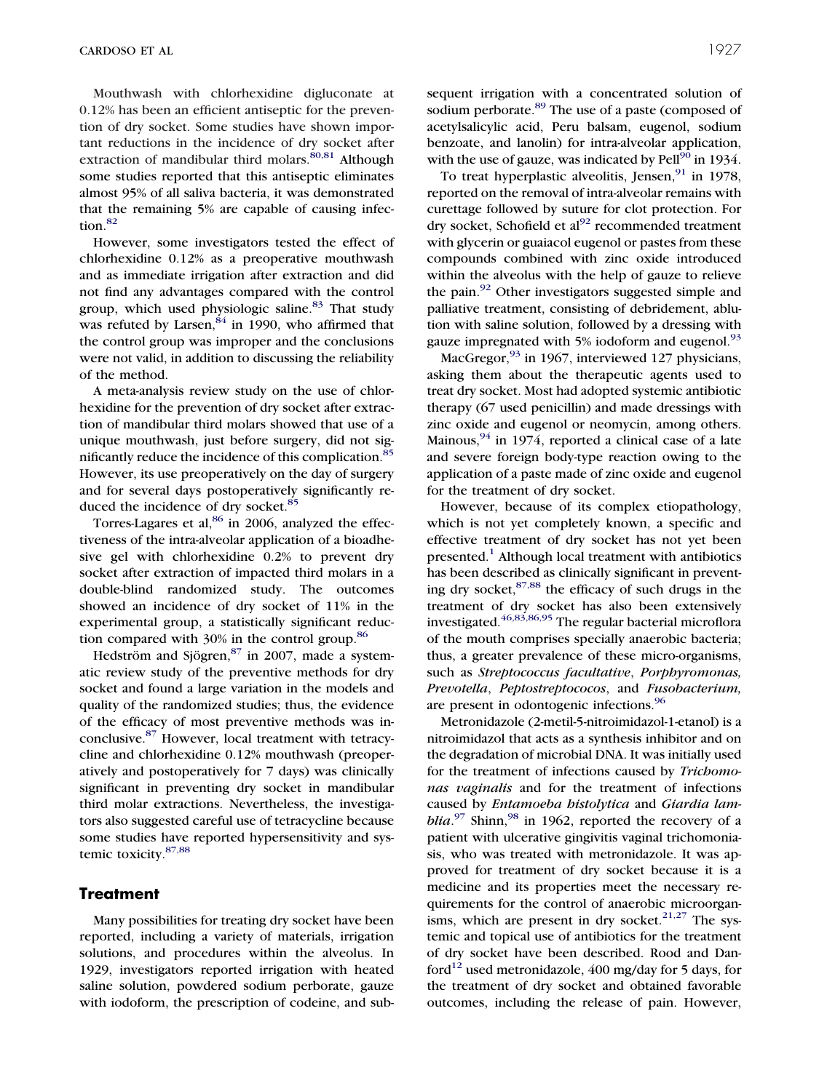Mouthwash with chlorhexidine digluconate at 0.12% has been an efficient antiseptic for the prevention of dry socket. Some studies have shown important reductions in the incidence of dry socket after extraction of mandibular third molars. $80,81$  Although some studies reported that this antiseptic eliminates almost 95% of all saliva bacteria, it was demonstrated that the remaining 5% are capable of causing infec- $\text{tion}$ .  $\frac{82}{3}$ 

However, some investigators tested the effect of chlorhexidine 0.12% as a preoperative mouthwash and as immediate irrigation after extraction and did not find any advantages compared with the control group, which used physiologic saline.<sup>[83](#page-9-0)</sup> That study was refuted by Larsen, $84$  in 1990, who affirmed that the control group was improper and the conclusions were not valid, in addition to discussing the reliability of the method.

A meta-analysis review study on the use of chlorhexidine for the prevention of dry socket after extraction of mandibular third molars showed that use of a unique mouthwash, just before surgery, did not significantly reduce the incidence of this complication[.85](#page-9-0) However, its use preoperatively on the day of surgery and for several days postoperatively significantly re-duced the incidence of dry socket.<sup>[85](#page-9-0)</sup>

Torres-Lagares et al, $86$  in 2006, analyzed the effectiveness of the intra-alveolar application of a bioadhesive gel with chlorhexidine 0.2% to prevent dry socket after extraction of impacted third molars in a double-blind randomized study. The outcomes showed an incidence of dry socket of 11% in the experimental group, a statistically significant reduction compared with  $30\%$  in the control group.<sup>86</sup>

Hedström and Sjögren, $87$  in 2007, made a systematic review study of the preventive methods for dry socket and found a large variation in the models and quality of the randomized studies; thus, the evidence of the efficacy of most preventive methods was inconclusive[.87](#page-9-0) However, local treatment with tetracycline and chlorhexidine 0.12% mouthwash (preoperatively and postoperatively for 7 days) was clinically significant in preventing dry socket in mandibular third molar extractions. Nevertheless, the investigators also suggested careful use of tetracycline because some studies have reported hypersensitivity and systemic toxicity[.87,88](#page-9-0)

#### **Treatment**

Many possibilities for treating dry socket have been reported, including a variety of materials, irrigation solutions, and procedures within the alveolus. In 1929, investigators reported irrigation with heated saline solution, powdered sodium perborate, gauze with iodoform, the prescription of codeine, and subsequent irrigation with a concentrated solution of sodium perborate.<sup>[89](#page-9-0)</sup> The use of a paste (composed of acetylsalicylic acid, Peru balsam, eugenol, sodium benzoate, and lanolin) for intra-alveolar application, with the use of gauze, was indicated by Pell $90$  in 1934.

To treat hyperplastic alveolitis, Jensen,  $91$  in 1978, reported on the removal of intra-alveolar remains with curettage followed by suture for clot protection. For dry socket, Schofield et al<sup>92</sup> recommended treatment with glycerin or guaiacol eugenol or pastes from these compounds combined with zinc oxide introduced within the alveolus with the help of gauze to relieve the pain.<sup>[92](#page-9-0)</sup> Other investigators suggested simple and palliative treatment, consisting of debridement, ablution with saline solution, followed by a dressing with gauze impregnated with 5% iodoform and eugenol.<sup>[93](#page-9-0)</sup>

MacGregor,<sup>[93](#page-9-0)</sup> in 1967, interviewed 127 physicians, asking them about the therapeutic agents used to treat dry socket. Most had adopted systemic antibiotic therapy (67 used penicillin) and made dressings with zinc oxide and eugenol or neomycin, among others. Mainous,  $94$  in 1974, reported a clinical case of a late and severe foreign body-type reaction owing to the application of a paste made of zinc oxide and eugenol for the treatment of dry socket.

However, because of its complex etiopathology, which is not yet completely known, a specific and effective treatment of dry socket has not yet been presented.<sup>[1](#page-8-0)</sup> Although local treatment with antibiotics has been described as clinically significant in preventing dry socket, $87,88$  the efficacy of such drugs in the treatment of dry socket has also been extensively investigated.[46,83,86,95](#page-8-0) The regular bacterial microflora of the mouth comprises specially anaerobic bacteria; thus, a greater prevalence of these micro-organisms, such as *Streptococcus facultative*, *Porphyromonas, Prevotella*, *Peptostreptococos*, and *Fusobacterium,* are present in odontogenic infections.<sup>[96](#page-9-0)</sup>

Metronidazole (2-metil-5-nitroimidazol-1-etanol) is a nitroimidazol that acts as a synthesis inhibitor and on the degradation of microbial DNA. It was initially used for the treatment of infections caused by *Trichomonas vaginalis* and for the treatment of infections caused by *Entamoeba histolytica* and *Giardia lam-* $blia.<sup>97</sup>$  $blia.<sup>97</sup>$  $blia.<sup>97</sup>$  Shinn,<sup>[98](#page-9-0)</sup> in 1962, reported the recovery of a patient with ulcerative gingivitis vaginal trichomoniasis, who was treated with metronidazole. It was approved for treatment of dry socket because it is a medicine and its properties meet the necessary requirements for the control of anaerobic microorganisms, which are present in dry socket. $21,27$  The systemic and topical use of antibiotics for the treatment of dry socket have been described. Rood and Dan-ford<sup>[12](#page-8-0)</sup> used metronidazole, 400 mg/day for 5 days, for the treatment of dry socket and obtained favorable outcomes, including the release of pain. However,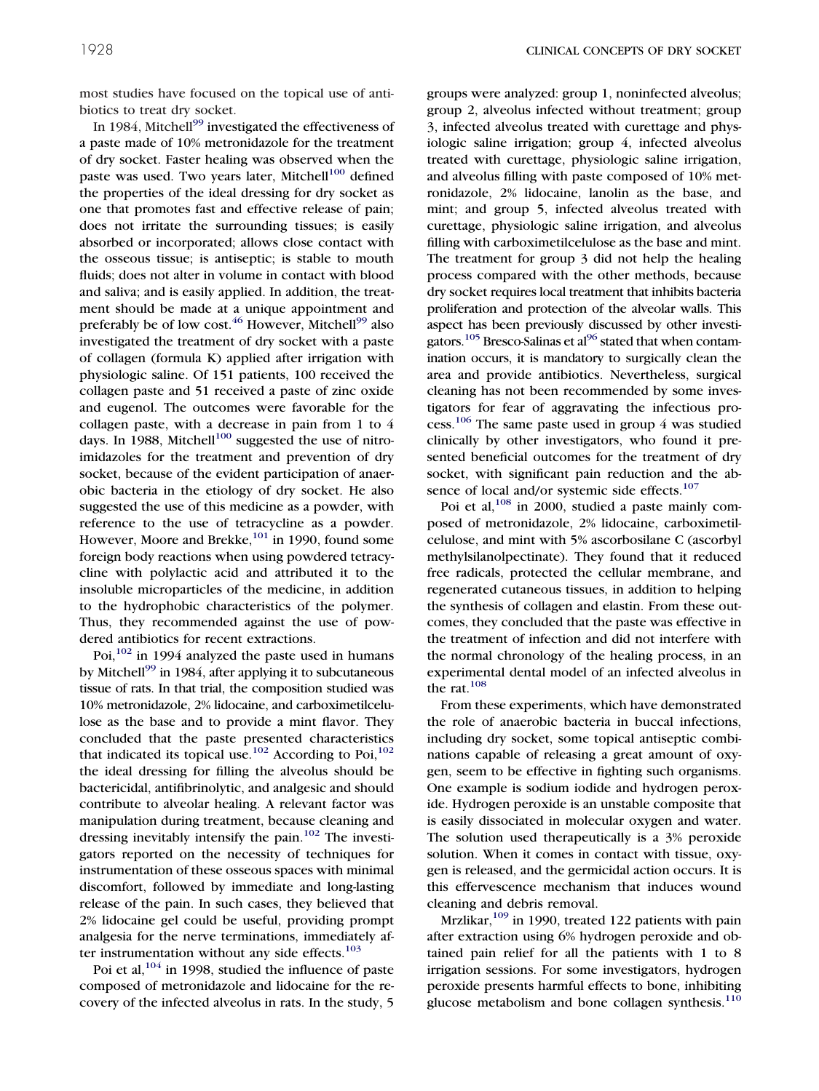most studies have focused on the topical use of antibiotics to treat dry socket.

In 1984, Mitchell<sup>99</sup> investigated the effectiveness of a paste made of 10% metronidazole for the treatment of dry socket. Faster healing was observed when the paste was used. Two years later, Mitchell<sup>100</sup> defined the properties of the ideal dressing for dry socket as one that promotes fast and effective release of pain; does not irritate the surrounding tissues; is easily absorbed or incorporated; allows close contact with the osseous tissue; is antiseptic; is stable to mouth fluids; does not alter in volume in contact with blood and saliva; and is easily applied. In addition, the treatment should be made at a unique appointment and preferably be of low cost.<sup>[46](#page-8-0)</sup> However, Mitchell<sup>[99](#page-10-0)</sup> also investigated the treatment of dry socket with a paste of collagen (formula K) applied after irrigation with physiologic saline. Of 151 patients, 100 received the collagen paste and 51 received a paste of zinc oxide and eugenol. The outcomes were favorable for the collagen paste, with a decrease in pain from 1 to 4 days. In 1988, Mitchell<sup>100</sup> suggested the use of nitroimidazoles for the treatment and prevention of dry socket, because of the evident participation of anaerobic bacteria in the etiology of dry socket. He also suggested the use of this medicine as a powder, with reference to the use of tetracycline as a powder. However, Moore and Brekke,<sup>101</sup> in 1990, found some foreign body reactions when using powdered tetracycline with polylactic acid and attributed it to the insoluble microparticles of the medicine, in addition to the hydrophobic characteristics of the polymer. Thus, they recommended against the use of powdered antibiotics for recent extractions.

Poi,<sup>[102](#page-10-0)</sup> in 1994 analyzed the paste used in humans by Mitchell<sup>[99](#page-10-0)</sup> in 1984, after applying it to subcutaneous tissue of rats. In that trial, the composition studied was 10% metronidazole, 2% lidocaine, and carboximetilcelulose as the base and to provide a mint flavor. They concluded that the paste presented characteristics that indicated its topical use.<sup>[102](#page-10-0)</sup> According to Poi,<sup>102</sup> the ideal dressing for filling the alveolus should be bactericidal, antifibrinolytic, and analgesic and should contribute to alveolar healing. A relevant factor was manipulation during treatment, because cleaning and dressing inevitably intensify the pain. $102$  The investigators reported on the necessity of techniques for instrumentation of these osseous spaces with minimal discomfort, followed by immediate and long-lasting release of the pain. In such cases, they believed that 2% lidocaine gel could be useful, providing prompt analgesia for the nerve terminations, immediately after instrumentation without any side effects.<sup>103</sup>

Poi et al,  $104$  in 1998, studied the influence of paste composed of metronidazole and lidocaine for the recovery of the infected alveolus in rats. In the study, 5

groups were analyzed: group 1, noninfected alveolus; group 2, alveolus infected without treatment; group 3, infected alveolus treated with curettage and physiologic saline irrigation; group 4, infected alveolus treated with curettage, physiologic saline irrigation, and alveolus filling with paste composed of 10% metronidazole, 2% lidocaine, lanolin as the base, and mint; and group 5, infected alveolus treated with curettage, physiologic saline irrigation, and alveolus filling with carboximetilcelulose as the base and mint. The treatment for group 3 did not help the healing process compared with the other methods, because dry socket requires local treatment that inhibits bacteria proliferation and protection of the alveolar walls. This aspect has been previously discussed by other investigators.<sup>105</sup> Bresco-Salinas et al<sup>96</sup> stated that when contamination occurs, it is mandatory to surgically clean the area and provide antibiotics. Nevertheless, surgical cleaning has not been recommended by some investigators for fear of aggravating the infectious process[.106](#page-10-0) The same paste used in group 4 was studied clinically by other investigators, who found it presented beneficial outcomes for the treatment of dry socket, with significant pain reduction and the absence of local and/or systemic side effects. $107$ 

Poi et al, $108$  in 2000, studied a paste mainly composed of metronidazole, 2% lidocaine, carboximetilcelulose, and mint with 5% ascorbosilane C (ascorbyl methylsilanolpectinate). They found that it reduced free radicals, protected the cellular membrane, and regenerated cutaneous tissues, in addition to helping the synthesis of collagen and elastin. From these outcomes, they concluded that the paste was effective in the treatment of infection and did not interfere with the normal chronology of the healing process, in an experimental dental model of an infected alveolus in the rat.<sup>108</sup>

From these experiments, which have demonstrated the role of anaerobic bacteria in buccal infections, including dry socket, some topical antiseptic combinations capable of releasing a great amount of oxygen, seem to be effective in fighting such organisms. One example is sodium iodide and hydrogen peroxide. Hydrogen peroxide is an unstable composite that is easily dissociated in molecular oxygen and water. The solution used therapeutically is a 3% peroxide solution. When it comes in contact with tissue, oxygen is released, and the germicidal action occurs. It is this effervescence mechanism that induces wound cleaning and debris removal.

Mrzlikar, $109$  in 1990, treated 122 patients with pain after extraction using 6% hydrogen peroxide and obtained pain relief for all the patients with 1 to 8 irrigation sessions. For some investigators, hydrogen peroxide presents harmful effects to bone, inhibiting glucose metabolism and bone collagen synthesis. $110$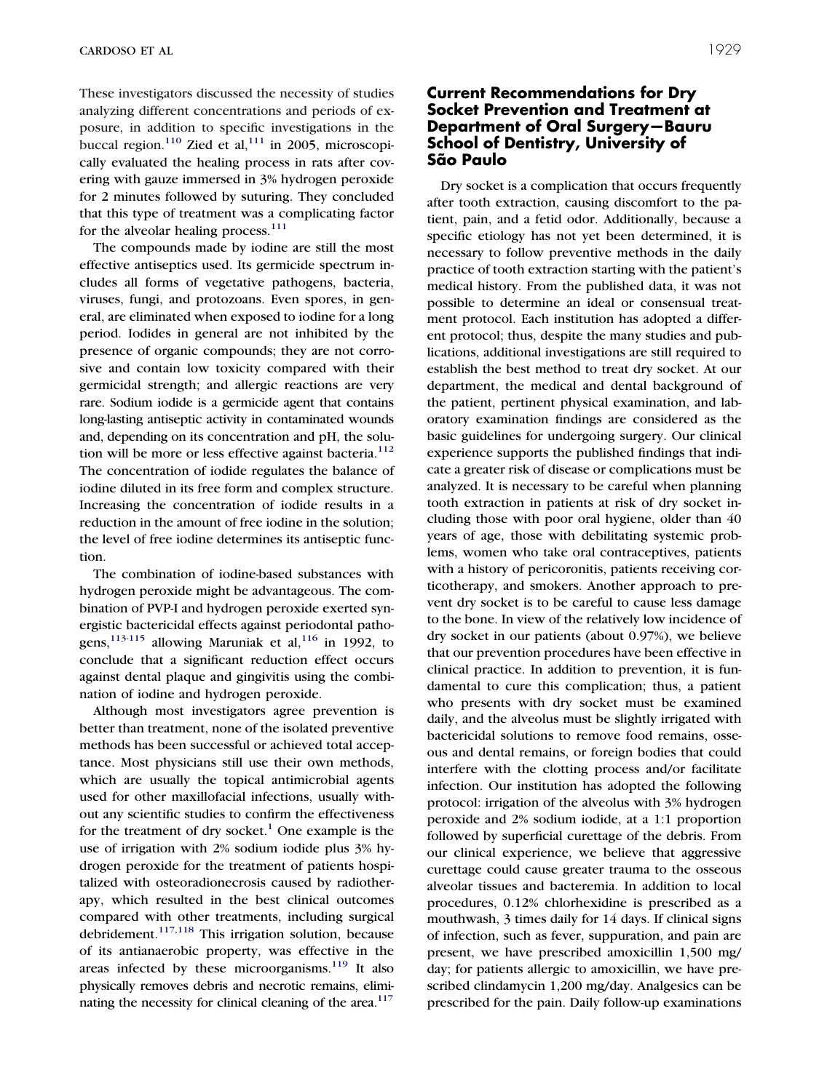These investigators discussed the necessity of studies analyzing different concentrations and periods of exposure, in addition to specific investigations in the buccal region. $110$  Zied et al, $111$  in 2005, microscopically evaluated the healing process in rats after covering with gauze immersed in 3% hydrogen peroxide for 2 minutes followed by suturing. They concluded that this type of treatment was a complicating factor for the alveolar healing process. $111$ 

The compounds made by iodine are still the most effective antiseptics used. Its germicide spectrum includes all forms of vegetative pathogens, bacteria, viruses, fungi, and protozoans. Even spores, in general, are eliminated when exposed to iodine for a long period. Iodides in general are not inhibited by the presence of organic compounds; they are not corrosive and contain low toxicity compared with their germicidal strength; and allergic reactions are very rare. Sodium iodide is a germicide agent that contains long-lasting antiseptic activity in contaminated wounds and, depending on its concentration and pH, the solution will be more or less effective against bacteria.<sup>112</sup> The concentration of iodide regulates the balance of iodine diluted in its free form and complex structure. Increasing the concentration of iodide results in a reduction in the amount of free iodine in the solution; the level of free iodine determines its antiseptic function.

The combination of iodine-based substances with hydrogen peroxide might be advantageous. The combination of PVP-I and hydrogen peroxide exerted synergistic bactericidal effects against periodontal patho-gens,<sup>[113-115](#page-10-0)</sup> allowing Maruniak et al,<sup>116</sup> in 1992, to conclude that a significant reduction effect occurs against dental plaque and gingivitis using the combination of iodine and hydrogen peroxide.

Although most investigators agree prevention is better than treatment, none of the isolated preventive methods has been successful or achieved total acceptance. Most physicians still use their own methods, which are usually the topical antimicrobial agents used for other maxillofacial infections, usually without any scientific studies to confirm the effectiveness for the treatment of dry socket.<sup>1</sup> One example is the use of irrigation with 2% sodium iodide plus 3% hydrogen peroxide for the treatment of patients hospitalized with osteoradionecrosis caused by radiotherapy, which resulted in the best clinical outcomes compared with other treatments, including surgical debridement.<sup>[117,118](#page-10-0)</sup> This irrigation solution, because of its antianaerobic property, was effective in the areas infected by these microorganisms. $119$  It also physically removes debris and necrotic remains, eliminating the necessity for clinical cleaning of the area. $117$ 

### **Current Recommendations for Dry Socket Prevention and Treatment at Department of Oral Surgery—Bauru School of Dentistry, University of Sa˜o Paulo**

Dry socket is a complication that occurs frequently after tooth extraction, causing discomfort to the patient, pain, and a fetid odor. Additionally, because a specific etiology has not yet been determined, it is necessary to follow preventive methods in the daily practice of tooth extraction starting with the patient's medical history. From the published data, it was not possible to determine an ideal or consensual treatment protocol. Each institution has adopted a different protocol; thus, despite the many studies and publications, additional investigations are still required to establish the best method to treat dry socket. At our department, the medical and dental background of the patient, pertinent physical examination, and laboratory examination findings are considered as the basic guidelines for undergoing surgery. Our clinical experience supports the published findings that indicate a greater risk of disease or complications must be analyzed. It is necessary to be careful when planning tooth extraction in patients at risk of dry socket including those with poor oral hygiene, older than 40 years of age, those with debilitating systemic problems, women who take oral contraceptives, patients with a history of pericoronitis, patients receiving corticotherapy, and smokers. Another approach to prevent dry socket is to be careful to cause less damage to the bone. In view of the relatively low incidence of dry socket in our patients (about 0.97%), we believe that our prevention procedures have been effective in clinical practice. In addition to prevention, it is fundamental to cure this complication; thus, a patient who presents with dry socket must be examined daily, and the alveolus must be slightly irrigated with bactericidal solutions to remove food remains, osseous and dental remains, or foreign bodies that could interfere with the clotting process and/or facilitate infection. Our institution has adopted the following protocol: irrigation of the alveolus with 3% hydrogen peroxide and 2% sodium iodide, at a 1:1 proportion followed by superficial curettage of the debris. From our clinical experience, we believe that aggressive curettage could cause greater trauma to the osseous alveolar tissues and bacteremia. In addition to local procedures, 0.12% chlorhexidine is prescribed as a mouthwash, 3 times daily for 14 days. If clinical signs of infection, such as fever, suppuration, and pain are present, we have prescribed amoxicillin 1,500 mg/ day; for patients allergic to amoxicillin, we have prescribed clindamycin 1,200 mg/day. Analgesics can be prescribed for the pain. Daily follow-up examinations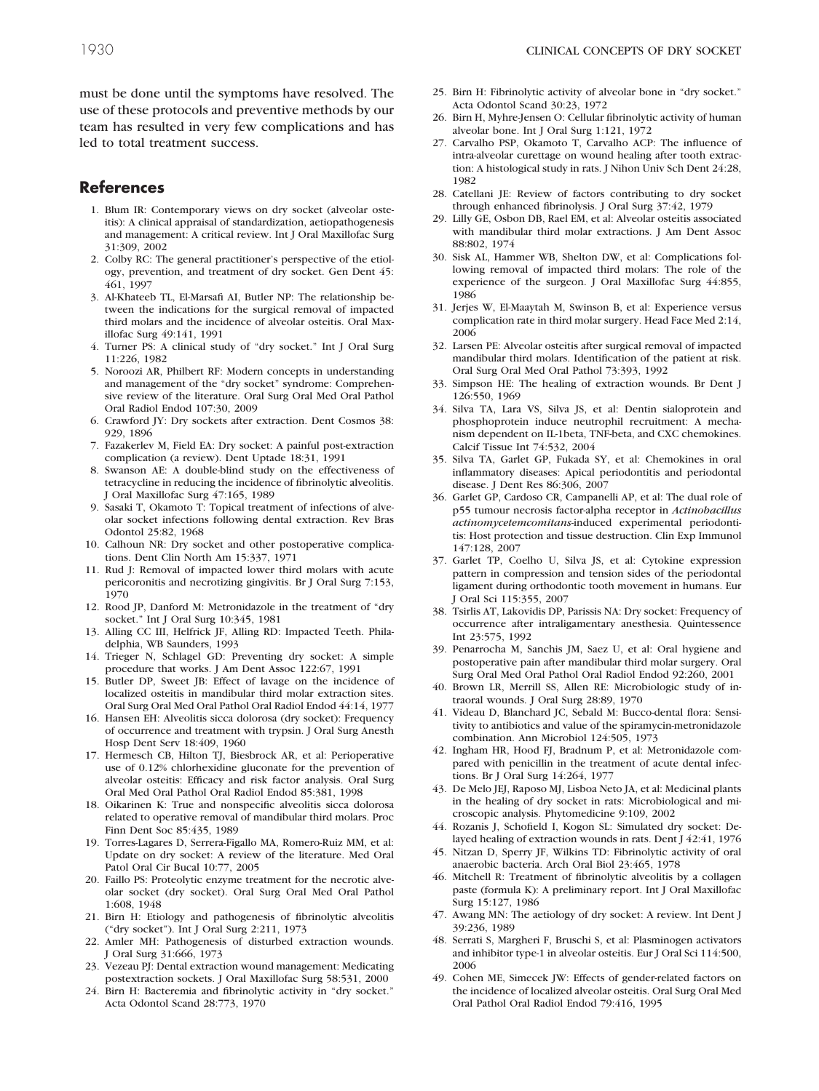<span id="page-8-0"></span>must be done until the symptoms have resolved. The use of these protocols and preventive methods by our team has resulted in very few complications and has led to total treatment success.

#### **References**

- 1. Blum IR: Contemporary views on dry socket (alveolar osteitis): A clinical appraisal of standardization, aetiopathogenesis and management: A critical review. Int J Oral Maxillofac Surg 31:309, 2002
- 2. Colby RC: The general practitioner's perspective of the etiology, prevention, and treatment of dry socket. Gen Dent 45: 461, 1997
- 3. Al-Khateeb TL, El-Marsafi AI, Butler NP: The relationship between the indications for the surgical removal of impacted third molars and the incidence of alveolar osteitis. Oral Maxillofac Surg 49:141, 1991
- 4. Turner PS: A clinical study of "dry socket." Int J Oral Surg 11:226, 1982
- 5. Noroozi AR, Philbert RF: Modern concepts in understanding and management of the "dry socket" syndrome: Comprehensive review of the literature. Oral Surg Oral Med Oral Pathol Oral Radiol Endod 107:30, 2009
- 6. Crawford JY: Dry sockets after extraction. Dent Cosmos 38: 929, 1896
- 7. Fazakerlev M, Field EA: Dry socket: A painful post-extraction complication (a review). Dent Uptade 18:31, 1991
- 8. Swanson AE: A double-blind study on the effectiveness of tetracycline in reducing the incidence of fibrinolytic alveolitis. J Oral Maxillofac Surg 47:165, 1989
- 9. Sasaki T, Okamoto T: Topical treatment of infections of alveolar socket infections following dental extraction. Rev Bras Odontol 25:82, 1968
- 10. Calhoun NR: Dry socket and other postoperative complications. Dent Clin North Am 15:337, 1971
- 11. Rud J: Removal of impacted lower third molars with acute pericoronitis and necrotizing gingivitis. Br J Oral Surg 7:153, 1970
- 12. Rood JP, Danford M: Metronidazole in the treatment of "dry socket." Int J Oral Surg 10:345, 1981
- 13. Alling CC III, Helfrick JF, Alling RD: Impacted Teeth. Philadelphia, WB Saunders, 1993
- 14. Trieger N, Schlagel GD: Preventing dry socket: A simple procedure that works. J Am Dent Assoc 122:67, 1991
- 15. Butler DP, Sweet JB: Effect of lavage on the incidence of localized osteitis in mandibular third molar extraction sites. Oral Surg Oral Med Oral Pathol Oral Radiol Endod 44:14, 1977
- 16. Hansen EH: Alveolitis sicca dolorosa (dry socket): Frequency of occurrence and treatment with trypsin. J Oral Surg Anesth Hosp Dent Serv 18:409, 1960
- 17. Hermesch CB, Hilton TJ, Biesbrock AR, et al: Perioperative use of 0.12% chlorhexidine gluconate for the prevention of alveolar osteitis: Efficacy and risk factor analysis. Oral Surg Oral Med Oral Pathol Oral Radiol Endod 85:381, 1998
- 18. Oikarinen K: True and nonspecific alveolitis sicca dolorosa related to operative removal of mandibular third molars. Proc Finn Dent Soc 85:435, 1989
- 19. Torres-Lagares D, Serrera-Figallo MA, Romero-Ruiz MM, et al: Update on dry socket: A review of the literature. Med Oral Patol Oral Cir Bucal 10:77, 2005
- 20. Faillo PS: Proteolytic enzyme treatment for the necrotic alveolar socket (dry socket). Oral Surg Oral Med Oral Pathol 1:608, 1948
- 21. Birn H: Etiology and pathogenesis of fibrinolytic alveolitis ("dry socket"). Int J Oral Surg 2:211, 1973
- 22. Amler MH: Pathogenesis of disturbed extraction wounds. J Oral Surg 31:666, 1973
- 23. Vezeau PJ: Dental extraction wound management: Medicating postextraction sockets. J Oral Maxillofac Surg 58:531, 2000
- 24. Birn H: Bacteremia and fibrinolytic activity in "dry socket." Acta Odontol Scand 28:773, 1970
- 25. Birn H: Fibrinolytic activity of alveolar bone in "dry socket." Acta Odontol Scand 30:23, 1972
- 26. Birn H, Myhre-Jensen O: Cellular fibrinolytic activity of human alveolar bone. Int J Oral Surg 1:121, 1972
- 27. Carvalho PSP, Okamoto T, Carvalho ACP: The influence of intra-alveolar curettage on wound healing after tooth extraction: A histological study in rats. J Nihon Univ Sch Dent 24:28, 1982
- 28. Catellani JE: Review of factors contributing to dry socket through enhanced fibrinolysis. J Oral Surg 37:42, 1979
- 29. Lilly GE, Osbon DB, Rael EM, et al: Alveolar osteitis associated with mandibular third molar extractions. J Am Dent Assoc 88:802, 1974
- 30. Sisk AL, Hammer WB, Shelton DW, et al: Complications following removal of impacted third molars: The role of the experience of the surgeon. J Oral Maxillofac Surg 44:855, 1986
- 31. Jerjes W, El-Maaytah M, Swinson B, et al: Experience versus complication rate in third molar surgery. Head Face Med 2:14, 2006
- 32. Larsen PE: Alveolar osteitis after surgical removal of impacted mandibular third molars. Identification of the patient at risk. Oral Surg Oral Med Oral Pathol 73:393, 1992
- 33. Simpson HE: The healing of extraction wounds. Br Dent J 126:550, 1969
- 34. Silva TA, Lara VS, Silva JS, et al: Dentin sialoprotein and phosphoprotein induce neutrophil recruitment: A mechanism dependent on IL-1beta, TNF-beta, and CXC chemokines. Calcif Tissue Int 74:532, 2004
- 35. Silva TA, Garlet GP, Fukada SY, et al: Chemokines in oral inflammatory diseases: Apical periodontitis and periodontal disease. J Dent Res 86:306, 2007
- 36. Garlet GP, Cardoso CR, Campanelli AP, et al: The dual role of p55 tumour necrosis factor-alpha receptor in *Actinobacillus actinomycetemcomitans*-induced experimental periodontitis: Host protection and tissue destruction. Clin Exp Immunol 147:128, 2007
- 37. Garlet TP, Coelho U, Silva JS, et al: Cytokine expression pattern in compression and tension sides of the periodontal ligament during orthodontic tooth movement in humans. Eur J Oral Sci 115:355, 2007
- 38. Tsirlis AT, Lakovidis DP, Parissis NA: Dry socket: Frequency of occurrence after intraligamentary anesthesia. Quintessence Int 23:575, 1992
- 39. Penarrocha M, Sanchis JM, Saez U, et al: Oral hygiene and postoperative pain after mandibular third molar surgery. Oral Surg Oral Med Oral Pathol Oral Radiol Endod 92:260, 2001
- 40. Brown LR, Merrill SS, Allen RE: Microbiologic study of intraoral wounds. J Oral Surg 28:89, 1970
- 41. Videau D, Blanchard JC, Sebald M: Bucco-dental flora: Sensitivity to antibiotics and value of the spiramycin-metronidazole combination. Ann Microbiol 124:505, 1973
- 42. Ingham HR, Hood FJ, Bradnum P, et al: Metronidazole compared with penicillin in the treatment of acute dental infections. Br J Oral Surg 14:264, 1977
- 43. De Melo JEJ, Raposo MJ, Lisboa Neto JA, et al: Medicinal plants in the healing of dry socket in rats: Microbiological and microscopic analysis. Phytomedicine 9:109, 2002
- 44. Rozanis J, Schofield I, Kogon SL: Simulated dry socket: Delayed healing of extraction wounds in rats. Dent J 42:41, 1976
- 45. Nitzan D, Sperry JF, Wilkins TD: Fibrinolytic activity of oral anaerobic bacteria. Arch Oral Biol 23:465, 1978
- 46. Mitchell R: Treatment of fibrinolytic alveolitis by a collagen paste (formula K): A preliminary report. Int J Oral Maxillofac Surg 15:127, 1986
- 47. Awang MN: The aetiology of dry socket: A review. Int Dent J 39:236, 1989
- 48. Serrati S, Margheri F, Bruschi S, et al: Plasminogen activators and inhibitor type-1 in alveolar osteitis. Eur J Oral Sci 114:500, 2006
- 49. Cohen ME, Simecek JW: Effects of gender-related factors on the incidence of localized alveolar osteitis. Oral Surg Oral Med Oral Pathol Oral Radiol Endod 79:416, 1995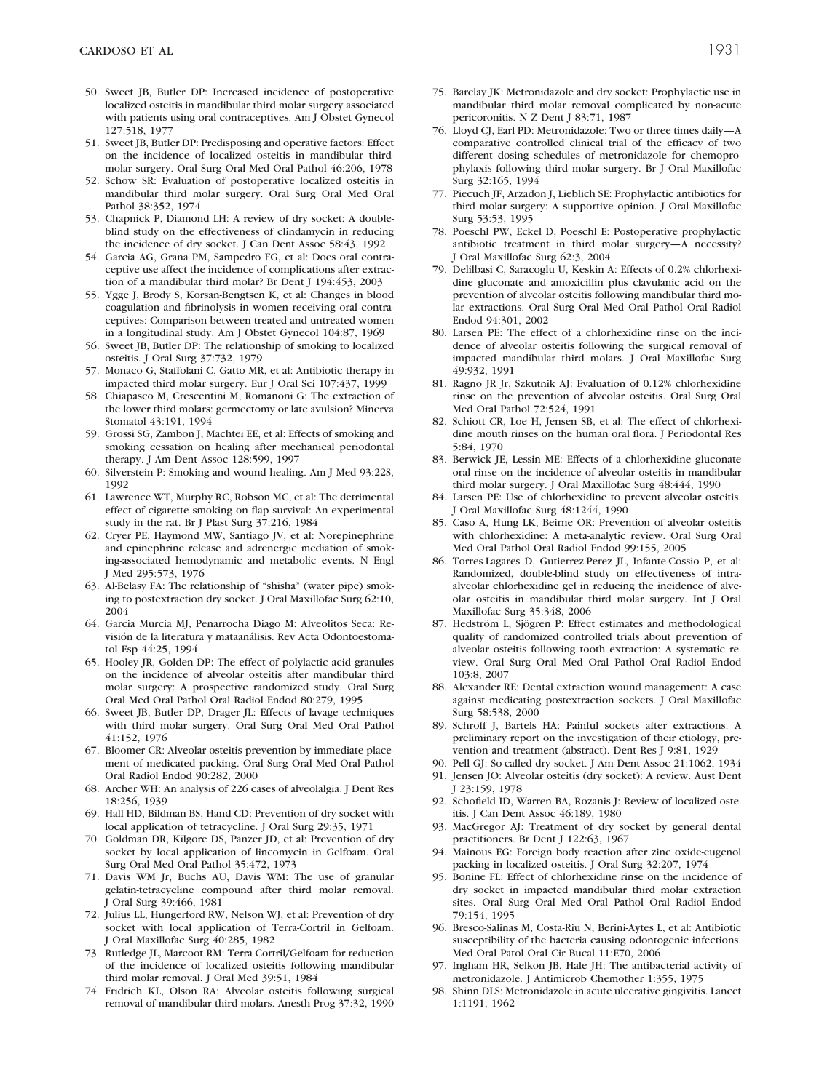- <span id="page-9-0"></span>50. Sweet JB, Butler DP: Increased incidence of postoperative localized osteitis in mandibular third molar surgery associated with patients using oral contraceptives. Am J Obstet Gynecol 127:518, 1977
- 51. Sweet JB, Butler DP: Predisposing and operative factors: Effect on the incidence of localized osteitis in mandibular thirdmolar surgery. Oral Surg Oral Med Oral Pathol 46:206, 1978
- 52. Schow SR: Evaluation of postoperative localized osteitis in mandibular third molar surgery. Oral Surg Oral Med Oral Pathol 38:352, 1974
- 53. Chapnick P, Diamond LH: A review of dry socket: A doubleblind study on the effectiveness of clindamycin in reducing the incidence of dry socket. J Can Dent Assoc 58:43, 1992
- 54. Garcia AG, Grana PM, Sampedro FG, et al: Does oral contraceptive use affect the incidence of complications after extraction of a mandibular third molar? Br Dent J 194:453, 2003
- 55. Ygge J, Brody S, Korsan-Bengtsen K, et al: Changes in blood coagulation and fibrinolysis in women receiving oral contraceptives: Comparison between treated and untreated women in a longitudinal study. Am J Obstet Gynecol 104:87, 1969
- 56. Sweet JB, Butler DP: The relationship of smoking to localized osteitis. J Oral Surg 37:732, 1979
- 57. Monaco G, Staffolani C, Gatto MR, et al: Antibiotic therapy in impacted third molar surgery. Eur J Oral Sci 107:437, 1999
- 58. Chiapasco M, Crescentini M, Romanoni G: The extraction of the lower third molars: germectomy or late avulsion? Minerva Stomatol 43:191, 1994
- 59. Grossi SG, Zambon J, Machtei EE, et al: Effects of smoking and smoking cessation on healing after mechanical periodontal therapy. J Am Dent Assoc 128:599, 1997
- 60. Silverstein P: Smoking and wound healing. Am J Med 93:22S, 1992
- 61. Lawrence WT, Murphy RC, Robson MC, et al: The detrimental effect of cigarette smoking on flap survival: An experimental study in the rat. Br J Plast Surg 37:216, 1984
- 62. Cryer PE, Haymond MW, Santiago JV, et al: Norepinephrine and epinephrine release and adrenergic mediation of smoking-associated hemodynamic and metabolic events. N Engl J Med 295:573, 1976
- 63. Al-Belasy FA: The relationship of "shisha" (water pipe) smoking to postextraction dry socket. J Oral Maxillofac Surg 62:10, 2004
- 64. Garcia Murcia MJ, Penarrocha Diago M: Alveolitos Seca: Revisión de la literatura y mataanálisis. Rev Acta Odontoestomatol Esp 44:25, 1994
- 65. Hooley JR, Golden DP: The effect of polylactic acid granules on the incidence of alveolar osteitis after mandibular third molar surgery: A prospective randomized study. Oral Surg Oral Med Oral Pathol Oral Radiol Endod 80:279, 1995
- 66. Sweet JB, Butler DP, Drager JL: Effects of lavage techniques with third molar surgery. Oral Surg Oral Med Oral Pathol 41:152, 1976
- 67. Bloomer CR: Alveolar osteitis prevention by immediate placement of medicated packing. Oral Surg Oral Med Oral Pathol Oral Radiol Endod 90:282, 2000
- 68. Archer WH: An analysis of 226 cases of alveolalgia. J Dent Res 18:256, 1939
- 69. Hall HD, Bildman BS, Hand CD: Prevention of dry socket with local application of tetracycline. J Oral Surg 29:35, 1971
- 70. Goldman DR, Kilgore DS, Panzer JD, et al: Prevention of dry socket by local application of lincomycin in Gelfoam. Oral Surg Oral Med Oral Pathol 35:472, 1973
- 71. Davis WM Jr, Buchs AU, Davis WM: The use of granular gelatin-tetracycline compound after third molar removal. J Oral Surg 39:466, 1981
- 72. Julius LL, Hungerford RW, Nelson WJ, et al: Prevention of dry socket with local application of Terra-Cortril in Gelfoam. J Oral Maxillofac Surg 40:285, 1982
- 73. Rutledge JL, Marcoot RM: Terra-Cortril/Gelfoam for reduction of the incidence of localized osteitis following mandibular third molar removal. J Oral Med 39:51, 1984
- 74. Fridrich KL, Olson RA: Alveolar osteitis following surgical removal of mandibular third molars. Anesth Prog 37:32, 1990
- 75. Barclay JK: Metronidazole and dry socket: Prophylactic use in mandibular third molar removal complicated by non-acute pericoronitis. N Z Dent J 83:71, 1987
- 76. Lloyd CJ, Earl PD: Metronidazole: Two or three times daily—A comparative controlled clinical trial of the efficacy of two different dosing schedules of metronidazole for chemoprophylaxis following third molar surgery. Br J Oral Maxillofac Surg 32:165, 1994
- 77. Piecuch JF, Arzadon J, Lieblich SE: Prophylactic antibiotics for third molar surgery: A supportive opinion. J Oral Maxillofac Surg 53:53, 1995
- 78. Poeschl PW, Eckel D, Poeschl E: Postoperative prophylactic antibiotic treatment in third molar surgery—A necessity? J Oral Maxillofac Surg 62:3, 2004
- 79. Delilbasi C, Saracoglu U, Keskin A: Effects of 0.2% chlorhexidine gluconate and amoxicillin plus clavulanic acid on the prevention of alveolar osteitis following mandibular third molar extractions. Oral Surg Oral Med Oral Pathol Oral Radiol Endod 94:301, 2002
- 80. Larsen PE: The effect of a chlorhexidine rinse on the incidence of alveolar osteitis following the surgical removal of impacted mandibular third molars. J Oral Maxillofac Surg 49:932, 1991
- 81. Ragno JR Jr, Szkutnik AJ: Evaluation of 0.12% chlorhexidine rinse on the prevention of alveolar osteitis. Oral Surg Oral Med Oral Pathol 72:524, 1991
- 82. Schiott CR, Loe H, Jensen SB, et al: The effect of chlorhexidine mouth rinses on the human oral flora. J Periodontal Res 5:84, 1970
- 83. Berwick JE, Lessin ME: Effects of a chlorhexidine gluconate oral rinse on the incidence of alveolar osteitis in mandibular third molar surgery. J Oral Maxillofac Surg 48:444, 1990
- 84. Larsen PE: Use of chlorhexidine to prevent alveolar osteitis. J Oral Maxillofac Surg 48:1244, 1990
- 85. Caso A, Hung LK, Beirne OR: Prevention of alveolar osteitis with chlorhexidine: A meta-analytic review. Oral Surg Oral Med Oral Pathol Oral Radiol Endod 99:155, 2005
- 86. Torres-Lagares D, Gutierrez-Perez JL, Infante-Cossio P, et al: Randomized, double-blind study on effectiveness of intraalveolar chlorhexidine gel in reducing the incidence of alveolar osteitis in mandibular third molar surgery. Int J Oral Maxillofac Surg 35:348, 2006
- 87. Hedström L, Sjögren P: Effect estimates and methodological quality of randomized controlled trials about prevention of alveolar osteitis following tooth extraction: A systematic review. Oral Surg Oral Med Oral Pathol Oral Radiol Endod 103:8, 2007
- 88. Alexander RE: Dental extraction wound management: A case against medicating postextraction sockets. J Oral Maxillofac Surg 58:538, 2000
- 89. Schroff J, Bartels HA: Painful sockets after extractions. A preliminary report on the investigation of their etiology, prevention and treatment (abstract). Dent Res J 9:81, 1929
- 90. Pell GJ: So-called dry socket. J Am Dent Assoc 21:1062, 1934
- 91. Jensen JO: Alveolar osteitis (dry socket): A review. Aust Dent J 23:159, 1978
- 92. Schofield ID, Warren BA, Rozanis J: Review of localized osteitis. J Can Dent Assoc 46:189, 1980
- 93. MacGregor AJ: Treatment of dry socket by general dental practitioners. Br Dent J 122:63, 1967
- 94. Mainous EG: Foreign body reaction after zinc oxide-eugenol packing in localized osteitis. J Oral Surg 32:207, 1974
- 95. Bonine FL: Effect of chlorhexidine rinse on the incidence of dry socket in impacted mandibular third molar extraction sites. Oral Surg Oral Med Oral Pathol Oral Radiol Endod 79:154, 1995
- 96. Bresco-Salinas M, Costa-Riu N, Berini-Aytes L, et al: Antibiotic susceptibility of the bacteria causing odontogenic infections. Med Oral Patol Oral Cir Bucal 11:E70, 2006
- 97. Ingham HR, Selkon JB, Hale JH: The antibacterial activity of metronidazole. J Antimicrob Chemother 1:355, 1975
- 98. Shinn DLS: Metronidazole in acute ulcerative gingivitis. Lancet 1:1191, 1962